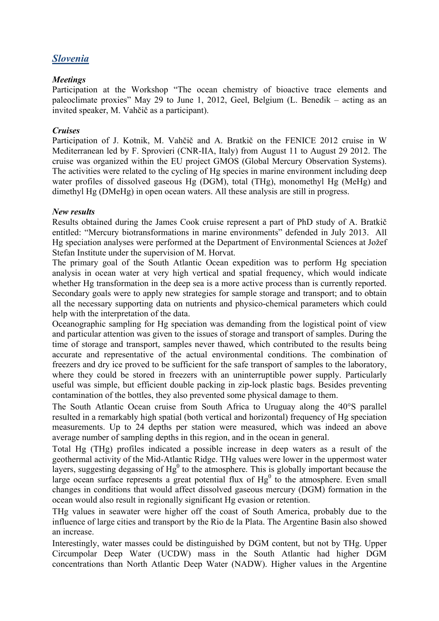# *Slovenia*

## *Meetings*

Participation at the Workshop "The ocean chemistry of bioactive trace elements and paleoclimate proxies" May 29 to June 1, 2012, Geel, Belgium (L. Benedik – acting as an invited speaker, M. Vahčič as a participant).

### *Cruises*

Participation of J. Kotnik, M. Vahčič and A. Bratkič on the FENICE 2012 cruise in W Mediterranean led by F. Sprovieri (CNR-IIA, Italy) from August 11 to August 29 2012. The cruise was organized within the EU project GMOS (Global Mercury Observation Systems). The activities were related to the cycling of Hg species in marine environment including deep water profiles of dissolved gaseous Hg (DGM), total (THg), monomethyl Hg (MeHg) and dimethyl Hg (DMeHg) in open ocean waters. All these analysis are still in progress.

### *New results*

Results obtained during the James Cook cruise represent a part of PhD study of A. Bratkič entitled: "Mercury biotransformations in marine environments" defended in July 2013. All Hg speciation analyses were performed at the Department of Environmental Sciences at Jožef Stefan Institute under the supervision of M. Horvat.

The primary goal of the South Atlantic Ocean expedition was to perform Hg speciation analysis in ocean water at very high vertical and spatial frequency, which would indicate whether Hg transformation in the deep sea is a more active process than is currently reported. Secondary goals were to apply new strategies for sample storage and transport; and to obtain all the necessary supporting data on nutrients and physico-chemical parameters which could help with the interpretation of the data.

Oceanographic sampling for Hg speciation was demanding from the logistical point of view and particular attention was given to the issues of storage and transport of samples. During the time of storage and transport, samples never thawed, which contributed to the results being accurate and representative of the actual environmental conditions. The combination of freezers and dry ice proved to be sufficient for the safe transport of samples to the laboratory, where they could be stored in freezers with an uninterruptible power supply. Particularly useful was simple, but efficient double packing in zip-lock plastic bags. Besides preventing contamination of the bottles, they also prevented some physical damage to them.

The South Atlantic Ocean cruise from South Africa to Uruguay along the 40°S parallel resulted in a remarkably high spatial (both vertical and horizontal) frequency of Hg speciation measurements. Up to 24 depths per station were measured, which was indeed an above average number of sampling depths in this region, and in the ocean in general.

Total Hg (THg) profiles indicated a possible increase in deep waters as a result of the geothermal activity of the Mid-Atlantic Ridge. THg values were lower in the uppermost water layers, suggesting degassing of  $Hg^0$  to the atmosphere. This is globally important because the large ocean surface represents a great potential flux of  $Hg<sup>0</sup>$  to the atmosphere. Even small changes in conditions that would affect dissolved gaseous mercury (DGM) formation in the ocean would also result in regionally significant Hg evasion or retention.

THg values in seawater were higher off the coast of South America, probably due to the influence of large cities and transport by the Rio de la Plata. The Argentine Basin also showed an increase.

Interestingly, water masses could be distinguished by DGM content, but not by THg. Upper Circumpolar Deep Water (UCDW) mass in the South Atlantic had higher DGM concentrations than North Atlantic Deep Water (NADW). Higher values in the Argentine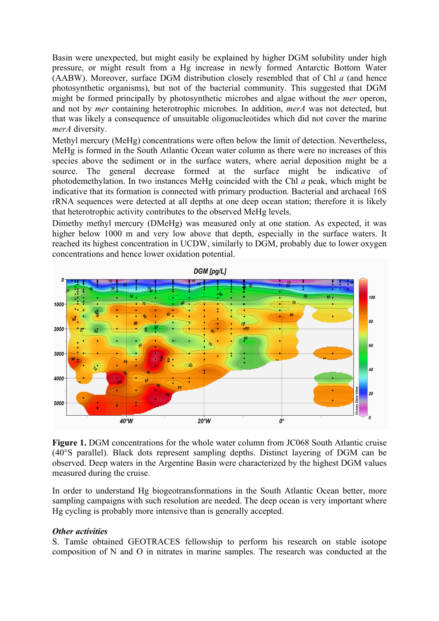Basin were unexpected, but might easily be explained by higher DGM solubility under high pressure, or might result from a Hg increase in newly formed Antarctic Bottom Water (AABW). Moreover, surface DGM distribution closely resembled that of Chl *a* (and hence photosynthetic organisms), but not of the bacterial community. This suggested that DGM might be formed principally by photosynthetic microbes and algae without the *mer* operon, and not by *mer* containing heterotrophic microbes. In addition, *merA* was not detected, but that was likely a consequence of unsuitable oligonucleotides which did not cover the marine *merA* diversity.

Methyl mercury (MeHg) concentrations were often below the limit of detection. Nevertheless, MeHg is formed in the South Atlantic Ocean water column as there were no increases of this species above the sediment or in the surface waters, where aerial deposition might be a source. The general decrease formed at the surface might be indicative of photodemethylation. In two instances MeHg coincided with the Chl *a* peak, which might be indicative that its formation is connected with primary production. Bacterial and archaeal 16S rRNA sequences were detected at all depths at one deep ocean station; therefore it is likely that heterotrophic activity contributes to the observed MeHg levels.

Dimethy methyl mercury (DMeHg) was measured only at one station. As expected, it was higher below 1000 m and very low above that depth, especially in the surface waters. It reached its highest concentration in UCDW, similarly to DGM, probably due to lower oxygen concentrations and hence lower oxidation potential.



**Figure 1.** DGM concentrations for the whole water column from JC068 South Atlantic cruise (40°S parallel). Black dots represent sampling depths. Distinct layering of DGM can be observed. Deep waters in the Argentine Basin were characterized by the highest DGM values measured during the cruise.

In order to understand Hg biogeotransformations in the South Atlantic Ocean better, more sampling campaigns with such resolution are needed. The deep ocean is very important where Hg cycling is probably more intensive than is generally accepted.

#### *Other activities*

S. Tamše obtained GEOTRACES fellowship to perform his research on stable isotope composition of N and O in nitrates in marine samples. The research was conducted at the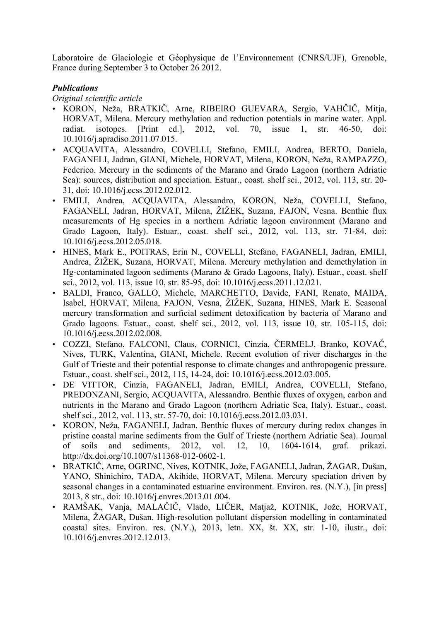Laboratoire de Glaciologie et Géophysique de l'Environnement (CNRS/UJF), Grenoble, France during September 3 to October 26 2012.

# *Publications*

### *Original scientific article*

- KORON, Neža, BRATKIČ, Arne, RIBEIRO GUEVARA, Sergio, VAHČIČ, Mitja, HORVAT, Milena. Mercury methylation and reduction potentials in marine water. Appl. radiat. isotopes. [Print ed.], 2012, vol. 70, issue 1, str. 46-50, doi: 10.1016/j.apradiso.2011.07.015.
- ACQUAVITA, Alessandro, COVELLI, Stefano, EMILI, Andrea, BERTO, Daniela, FAGANELI, Jadran, GIANI, Michele, HORVAT, Milena, KORON, Neža, RAMPAZZO, Federico. Mercury in the sediments of the Marano and Grado Lagoon (northern Adriatic Sea): sources, distribution and speciation. Estuar., coast. shelf sci., 2012, vol. 113, str. 20- 31, doi: 10.1016/j.ecss.2012.02.012.
- EMILI, Andrea, ACQUAVITA, Alessandro, KORON, Neža, COVELLI, Stefano, FAGANELI, Jadran, HORVAT, Milena, ŽIŽEK, Suzana, FAJON, Vesna. Benthic flux measurements of Hg species in a northern Adriatic lagoon environment (Marano and Grado Lagoon, Italy). Estuar., coast. shelf sci., 2012, vol. 113, str. 71-84, doi: 10.1016/j.ecss.2012.05.018.
- HINES, Mark E., POITRAS, Erin N., COVELLI, Stefano, FAGANELI, Jadran, EMILI, Andrea, ŽIŽEK, Suzana, HORVAT, Milena. Mercury methylation and demethylation in Hg-contaminated lagoon sediments (Marano & Grado Lagoons, Italy). Estuar., coast. shelf sci., 2012, vol. 113, issue 10, str. 85-95, doi: 10.1016/j.ecss.2011.12.021.
- BALDI, Franco, GALLO, Michele, MARCHETTO, Davide, FANI, Renato, MAIDA, Isabel, HORVAT, Milena, FAJON, Vesna, ŽIŽEK, Suzana, HINES, Mark E. Seasonal mercury transformation and surficial sediment detoxification by bacteria of Marano and Grado lagoons. Estuar., coast. shelf sci., 2012, vol. 113, issue 10, str. 105-115, doi: 10.1016/j.ecss.2012.02.008.
- COZZI, Stefano, FALCONI, Claus, CORNICI, Cinzia, ČERMELJ, Branko, KOVAČ, Nives, TURK, Valentina, GIANI, Michele. Recent evolution of river discharges in the Gulf of Trieste and their potential response to climate changes and anthropogenic pressure. Estuar., coast. shelf sci., 2012, 115, 14-24, doi: 10.1016/j.ecss.2012.03.005.
- DE VITTOR, Cinzia, FAGANELI, Jadran, EMILI, Andrea, COVELLI, Stefano, PREDONZANI, Sergio, ACQUAVITA, Alessandro. Benthic fluxes of oxygen, carbon and nutrients in the Marano and Grado Lagoon (northern Adriatic Sea, Italy). Estuar., coast. shelf sci., 2012, vol. 113, str. 57-70, doi: 10.1016/j.ecss.2012.03.031.
- KORON, Neža, FAGANELI, Jadran. Benthic fluxes of mercury during redox changes in pristine coastal marine sediments from the Gulf of Trieste (northern Adriatic Sea). Journal of soils and sediments, 2012, vol. 12, 10, 1604-1614, graf. prikazi. http://dx.doi.org/10.1007/s11368-012-0602-1.
- BRATKIČ, Arne, OGRINC, Nives, KOTNIK, Jože, FAGANELI, Jadran, ŽAGAR, Dušan, YANO, Shinichiro, TADA, Akihide, HORVAT, Milena. Mercury speciation driven by seasonal changes in a contaminated estuarine environment. Environ. res. (N.Y.), [in press] 2013, 8 str., doi: 10.1016/j.envres.2013.01.004.
- RAMŠAK, Vanja, MALAČIČ, Vlado, LIČER, Matjaž, KOTNIK, Jože, HORVAT, Milena, ŽAGAR, Dušan. High-resolution pollutant dispersion modelling in contaminated coastal sites. Environ. res. (N.Y.), 2013, letn. XX, št. XX, str. 1-10, ilustr., doi: 10.1016/j.envres.2012.12.013.